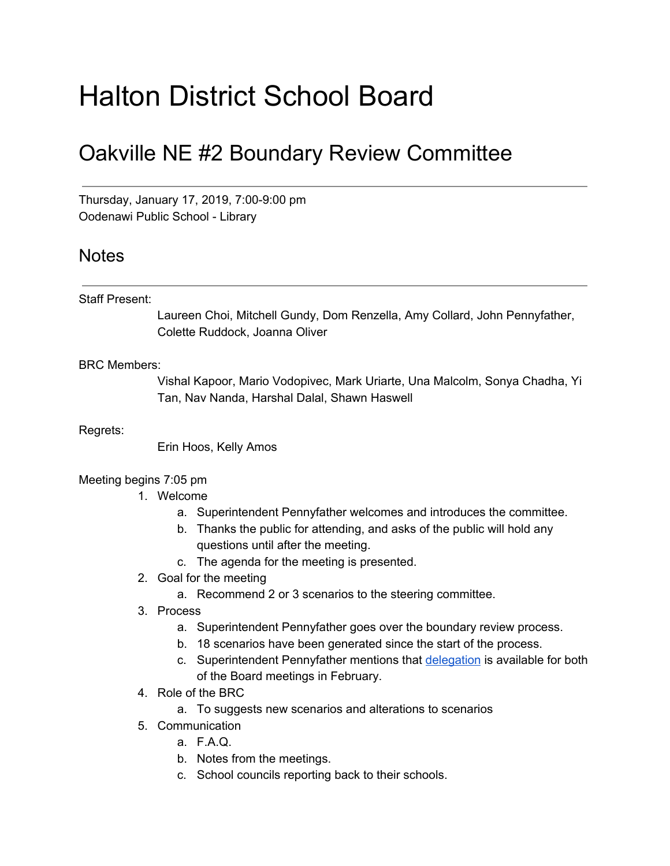# Halton District School Board

## Oakville NE #2 Boundary Review Committee

Thursday, January 17, 2019, 7:00-9:00 pm Oodenawi Public School - Library

### **Notes**

#### Staff Present:

Laureen Choi, Mitchell Gundy, Dom Renzella, Amy Collard, John Pennyfather, Colette Ruddock, Joanna Oliver

#### BRC Members:

Vishal Kapoor, Mario Vodopivec, Mark Uriarte, Una Malcolm, Sonya Chadha, Yi Tan, Nav Nanda, Harshal Dalal, Shawn Haswell

Regrets:

Erin Hoos, Kelly Amos

#### Meeting begins 7:05 pm

- 1. Welcome
	- a. Superintendent Pennyfather welcomes and introduces the committee.
	- b. Thanks the public for attending, and asks of the public will hold any questions until after the meeting.
	- c. The agenda for the meeting is presented.
- 2. Goal for the meeting
	- a. Recommend 2 or 3 scenarios to the steering committee.
- 3. Process
	- a. Superintendent Pennyfather goes over the boundary review process.
	- b. 18 scenarios have been generated since the start of the process.
	- c. Superintendent Pennyfather mentions that [delegation](https://www.hdsb.ca/our-board/Pages/Board%20of%20Trustees/Delegating-the-Board.aspx) is available for both of the Board meetings in February.
- 4. Role of the BRC
	- a. To suggests new scenarios and alterations to scenarios
- 5. Communication
	- a. F.A.Q.
	- b. Notes from the meetings.
	- c. School councils reporting back to their schools.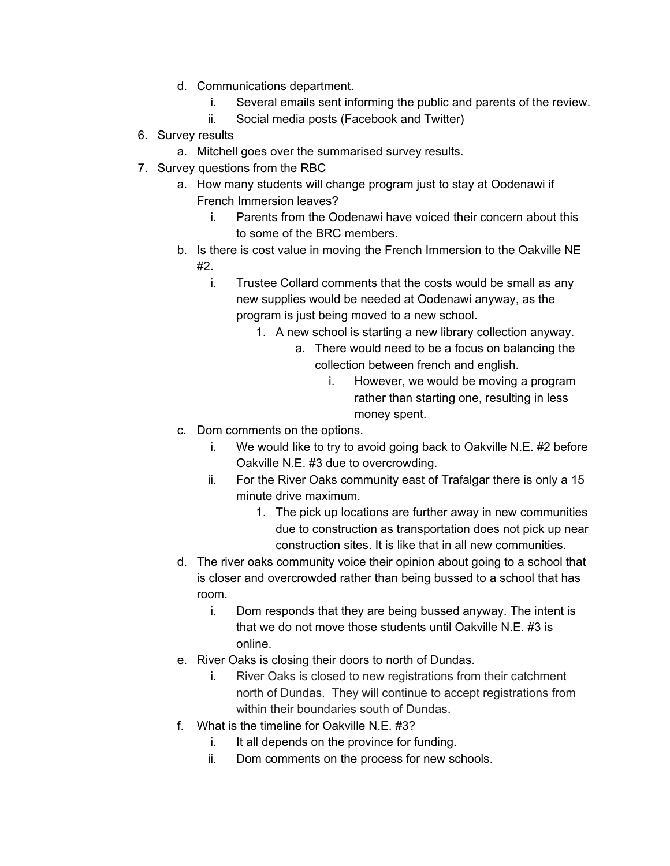- d. Communications department.
	- i. Several emails sent informing the public and parents of the review.
	- ii. Social media posts (Facebook and Twitter)
- 6. Survey results
	- a. Mitchell goes over the summarised survey results.
- 7. Survey questions from the RBC
	- a. How many students will change program just to stay at Oodenawi if French Immersion leaves?
		- i. Parents from the Oodenawi have voiced their concern about this to some of the BRC members.
	- b. Is there is cost value in moving the French Immersion to the Oakville NE #2.
		- i. Trustee Collard comments that the costs would be small as any new supplies would be needed at Oodenawi anyway, as the program is just being moved to a new school.
			- 1. A new school is starting a new library collection anyway.
				- a. There would need to be a focus on balancing the collection between french and english.
					- i. However, we would be moving a program rather than starting one, resulting in less money spent.
	- c. Dom comments on the options.
		- i. We would like to try to avoid going back to Oakville N.E. #2 before Oakville N.E. #3 due to overcrowding.
		- ii. For the River Oaks community east of Trafalgar there is only a 15 minute drive maximum.
			- 1. The pick up locations are further away in new communities due to construction as transportation does not pick up near construction sites. It is like that in all new communities.
	- d. The river oaks community voice their opinion about going to a school that is closer and overcrowded rather than being bussed to a school that has room.
		- i. Dom responds that they are being bussed anyway. The intent is that we do not move those students until Oakville N.E. #3 is online.
	- e. River Oaks is closing their doors to north of Dundas.
		- i. River Oaks is closed to new registrations from their catchment north of Dundas. They will continue to accept registrations from within their boundaries south of Dundas.
	- f. What is the timeline for Oakville N.E. #3?
		- i. It all depends on the province for funding.
		- ii. Dom comments on the process for new schools.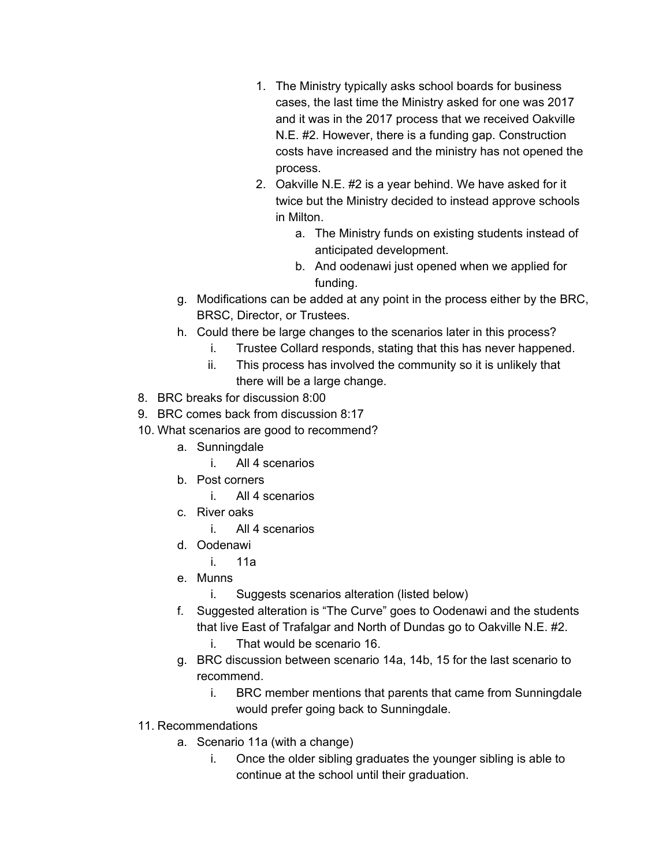- 1. The Ministry typically asks school boards for business cases, the last time the Ministry asked for one was 2017 and it was in the 2017 process that we received Oakville N.E. #2. However, there is a funding gap. Construction costs have increased and the ministry has not opened the process.
- 2. Oakville N.E. #2 is a year behind. We have asked for it twice but the Ministry decided to instead approve schools in Milton.
	- a. The Ministry funds on existing students instead of anticipated development.
	- b. And oodenawi just opened when we applied for funding.
- g. Modifications can be added at any point in the process either by the BRC, BRSC, Director, or Trustees.
- h. Could there be large changes to the scenarios later in this process?
	- i. Trustee Collard responds, stating that this has never happened.
	- ii. This process has involved the community so it is unlikely that there will be a large change.
- 8. BRC breaks for discussion 8:00
- 9. BRC comes back from discussion 8:17
- 10. What scenarios are good to recommend?
	- a. Sunningdale
		- i. All 4 scenarios
	- b. Post corners
		- i. All 4 scenarios
	- c. River oaks
		- i. All 4 scenarios
	- d. Oodenawi
		- i. 11a
	- e. Munns
		- i. Suggests scenarios alteration (listed below)
	- f. Suggested alteration is "The Curve" goes to Oodenawi and the students that live East of Trafalgar and North of Dundas go to Oakville N.E. #2.
		- i. That would be scenario 16.
	- g. BRC discussion between scenario 14a, 14b, 15 for the last scenario to recommend.
		- i. BRC member mentions that parents that came from Sunningdale would prefer going back to Sunningdale.
- 11. Recommendations
	- a. Scenario 11a (with a change)
		- i. Once the older sibling graduates the younger sibling is able to continue at the school until their graduation.